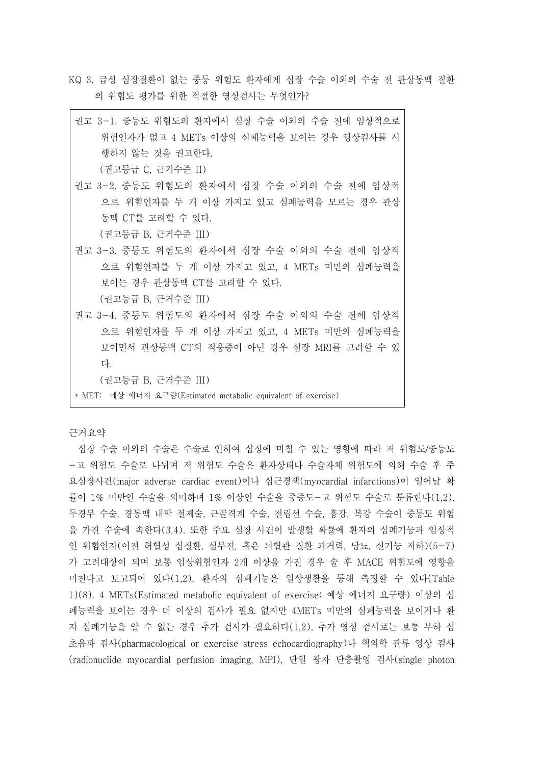KQ 3. 급성 심장질환이 없는 중등 위험도 환자에게 심장 수술 이외의 수술 전 관상동맥 질환 의 위험도 평가를 위한 적절한 영상검사는 무엇인가?

| 권고 3-1. 중등도 위험도의 환자에서 심장 수술 이외의 수술 전에 임상적으로 |
|---------------------------------------------|
| 위험인자가 없고 4 METs 이상의 심폐능력을 보이는 경우 영상검사를 시    |
| 행하지 않는 것을 권고한다.                             |
| (권고등급 C, 근거수준 II)                           |
| 권고 3-2. 중등도 위험도의 환자에서 심장 수술 이외의 수술 전에 임상적   |
| 으로 위험인자를 두 개 이상 가지고 있고 심폐능력을 모르는 경우 관상      |
| 동맥 CT를 고려할 수 있다.                            |
| (권고등급 B, 근거수준 III)                          |
| 권고 3-3. 중등도 위험도의 환자에서 심장 수술 이외의 수술 전에 임상적   |
| 으로 위험인자를 두 개 이상 가지고 있고, 4 METs 미만의 심폐능력을    |
| 보이는 경우 관상동맥 CT를 고려할 수 있다.                   |
| (권고등급 B, 근거수준 III)                          |
| 권고 3-4. 중등도 위험도의 환자에서 심장 수술 이외의 수술 전에 임상적   |
| 으로 위험인자를 두 개 이상 가지고 있고, 4 METs 미만의 심폐능력을    |
| 보이면서 관상동맥 CT의 적응증이 아닌 경우 심장 MRI를 고려할 수 있    |
| 다.                                          |
|                                             |

(권고등급 B, 근거수준 III)

\* MET: 예상 에너지 요구량(Estimated metabolic equivalent of exercise)

근거요약

심장 수술 이외의 수술은 수술로 인하여 심장에 미칠 수 있는 영향에 따라 저 위험도/중등도 -고 위험도 수술로 나뉘며 저 위험도 수술은 환자상태나 수술자체 위험도에 의해 수술 후 주 요심장사건(major adverse cardiac event)이나 심근경색(myocardial infarctions)이 일어날 확 률이 1% 미만인 수술을 의미하며 1% 이상인 수술을 중증도-고 위험도 수술로 분류한다(1,2). 두경부 수술, 경동맥 내막 절제술, 근골격계 수술, 전립선 수술, 흉강, 복강 수술이 중등도 위험 을 가진 수술에 속한다(3,4). 또한 주요 심장 사건이 발생할 확률에 환자의 심폐기능과 임상적 인 위험인자(이전 허혈성 심질환, 심부전, 혹은 뇌혈관 질환 과거력, 당뇨, 신기능 저하)(5-7) 가 고려대상이 되며 보통 임상위험인자 2개 이상을 가진 경우 술 후 MACE 위험도에 영향을 미친다고 보고되어 있다(1,2). 환자의 심폐기능은 일상생활을 통해 측정할 수 있다(Table 1)(8). 4 METs(Estimated metabolic equivalent of exercise: 예상 에너지 요구량) 이상의 심 폐능력을 보이는 경우 더 이상의 검사가 필요 없지만 4METs 미만의 심폐능력을 보이거나 환 자 심폐기능을 알 수 없는 경우 추가 검사가 필요하다(1,2). 추가 영상 검사로는 보통 부하 심 초음파 검사(pharmacological or exercise stress echocardiography)나 핵의학 관류 영상 검사 (radionuclide myocardial perfusion imaging, MPI), 단일 광자 단층촬영 검사(single photon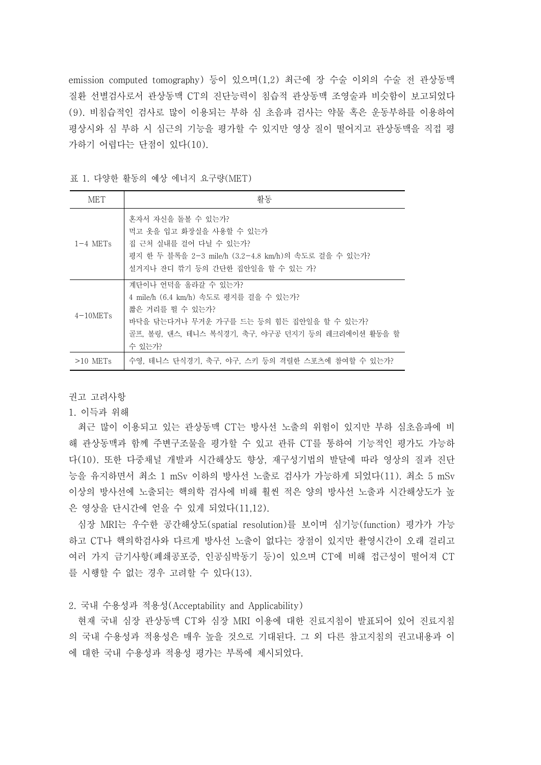emission computed tomography) 등이 있으며(1,2) 최근에 장 수술 이외의 수술 전 관상동맥 질환 선별검사로서 관상동맥 CT의 진단능력이 침습적 관상동맥 조영술과 비슷함이 보고되었다 (9). 비침습적인 검사로 많이 이용되는 부하 심 초음파 검사는 약물 혹은 운동부하를 이용하여 평상시와 심 부하 시 심근의 기능을 평가할 수 있지만 영상 질이 떨어지고 관상동맥을 직접 평 가하기 어렵다는 단점이 있다(10).

|  |  |  |  |  |  | 표 1. 다양한 활동의 예상 에너지 요구량(MET) |
|--|--|--|--|--|--|------------------------------|
|--|--|--|--|--|--|------------------------------|

| <b>MET</b>  | 활동                                                                                                                                                                                         |
|-------------|--------------------------------------------------------------------------------------------------------------------------------------------------------------------------------------------|
| $1-4$ METs  | 혼자서 자신을 돌볼 수 있는가?<br>먹고 옷을 입고 화장실을 사용할 수 있는가<br>집 근처 실내를 걸어 다닐 수 있는가?<br>평지 한 두 블록을 2-3 mile/h (3.2−4.8 km/h)의 속도로 걸을 수 있는가?<br>설거지나 잔디 깎기 등의 간단한 집안일을 할 수 있는 가?                           |
| $4-10$ METs | 계단이나 어덕을 올라갈 수 있는가?<br>4 mile/h (6.4 km/h) 속도로 평지를 걸을 수 있는가?<br>짧은 거리를 뛸 수 있는가?<br>바닥을 닦는다거나 무거우 가구를 드는 등의 힘든 집안일을 할 수 있는가?<br>골프, 볼링, 댄스, 테니스 복식경기, 축구, 야구공 던지기 등의 레크리에이션 활동을 할<br>수 있는가? |
| $>10$ METs  | 수영, 테니스 단식경기, 축구, 야구, 스키 등의 격렬한 스포츠에 참여할 수 있는가?                                                                                                                                            |

권고 고려사항

1. 이득과 위해

최근 많이 이용되고 있는 관상동맥 CT는 방사선 노출의 위험이 있지만 부하 심초음파에 비 해 관상동맥과 함께 주변구조물을 평가할 수 있고 관류 CT를 통하여 기능적인 평가도 가능하 다(10). 또한 다중채널 개발과 시간해상도 향상, 재구성기법의 발달에 따라 영상의 질과 진단 능을 유지하면서 최소 1 mSv 이하의 방사선 노출로 검사가 가능하게 되었다(11). 최소 5 mSv 이상의 방사선에 노출되는 핵의학 검사에 비해 훨씬 적은 양의 방사선 노출과 시간해상도가 높 은 영상을 단시간에 얻을 수 있게 되었다(11,12).

심장 MRI는 우수한 공간해상도(spatial resolution)를 보이며 심기능(function) 평가가 가능 하고 CT나 핵의학검사와 다르게 방사선 노출이 없다는 장점이 있지만 촬영시간이 오래 걸리고 여러 가지 금기사항(폐쇄공포증, 인공심박동기 등)이 있으며 CT에 비해 접근성이 떨어져 CT 를 시행할 수 없는 경우 고려할 수 있다(13).

2. 국내 수용성과 적용성(Acceptability and Applicability)

현재 국내 심장 관상동맥 CT와 심장 MRI 이용에 대한 진료지침이 발표되어 있어 진료지침 의 국내 수용성과 적용성은 매우 높을 것으로 기대된다. 그 외 다른 참고지침의 권고내용과 이 에 대한 국내 수용성과 적용성 평가는 부록에 제시되었다.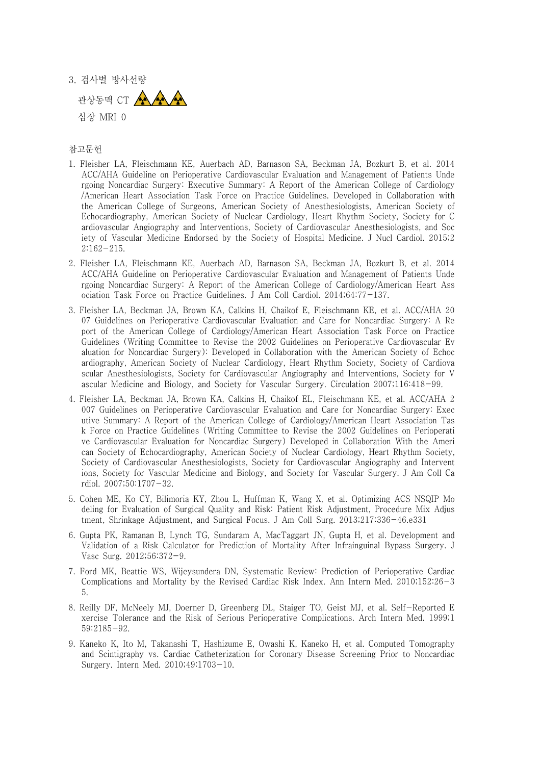3. 검사별 방사선량



## 참고문헌

- 1. Fleisher LA, Fleischmann KE, Auerbach AD, Barnason SA, Beckman JA, Bozkurt B, et al. 2014 ACC/AHA Guideline on Perioperative Cardiovascular Evaluation and Management of Patients Unde rgoing Noncardiac Surgery: Executive Summary: A Report of the American College of Cardiology /American Heart Association Task Force on Practice Guidelines. Developed in Collaboration with the American College of Surgeons, American Society of Anesthesiologists, American Society of Echocardiography, American Society of Nuclear Cardiology, Heart Rhythm Society, Society for C ardiovascular Angiography and Interventions, Society of Cardiovascular Anesthesiologists, and Soc iety of Vascular Medicine Endorsed by the Society of Hospital Medicine. J Nucl Cardiol. 2015;2 2:162-215.
- 2. Fleisher LA, Fleischmann KE, Auerbach AD, Barnason SA, Beckman JA, Bozkurt B, et al. 2014 ACC/AHA Guideline on Perioperative Cardiovascular Evaluation and Management of Patients Unde rgoing Noncardiac Surgery: A Report of the American College of Cardiology/American Heart Ass ociation Task Force on Practice Guidelines. J Am Coll Cardiol. 2014;64:77-137.
- 3. Fleisher LA, Beckman JA, Brown KA, Calkins H, Chaikof E, Fleischmann KE, et al. ACC/AHA 20 07 Guidelines on Perioperative Cardiovascular Evaluation and Care for Noncardiac Surgery: A Re port of the American College of Cardiology/American Heart Association Task Force on Practice Guidelines (Writing Committee to Revise the 2002 Guidelines on Perioperative Cardiovascular Ev aluation for Noncardiac Surgery): Developed in Collaboration with the American Society of Echoc ardiography, American Society of Nuclear Cardiology, Heart Rhythm Society, Society of Cardiova scular Anesthesiologists, Society for Cardiovascular Angiography and Interventions, Society for V ascular Medicine and Biology, and Society for Vascular Surgery. Circulation 2007;116:418-99.
- 4. Fleisher LA, Beckman JA, Brown KA, Calkins H, Chaikof EL, Fleischmann KE, et al. ACC/AHA 2 007 Guidelines on Perioperative Cardiovascular Evaluation and Care for Noncardiac Surgery: Exec utive Summary: A Report of the American College of Cardiology/American Heart Association Tas k Force on Practice Guidelines (Writing Committee to Revise the 2002 Guidelines on Perioperati ve Cardiovascular Evaluation for Noncardiac Surgery) Developed in Collaboration With the Ameri can Society of Echocardiography, American Society of Nuclear Cardiology, Heart Rhythm Society, Society of Cardiovascular Anesthesiologists, Society for Cardiovascular Angiography and Intervent ions, Society for Vascular Medicine and Biology, and Society for Vascular Surgery. J Am Coll Ca rdiol. 2007;50:1707-32.
- 5. Cohen ME, Ko CY, Bilimoria KY, Zhou L, Huffman K, Wang X, et al. Optimizing ACS NSQIP Mo deling for Evaluation of Surgical Quality and Risk: Patient Risk Adjustment, Procedure Mix Adjus tment, Shrinkage Adjustment, and Surgical Focus. J Am Coll Surg. 2013;217:336-46.e331
- 6. Gupta PK, Ramanan B, Lynch TG, Sundaram A, MacTaggart JN, Gupta H, et al. Development and Validation of a Risk Calculator for Prediction of Mortality After Infrainguinal Bypass Surgery. J Vasc Surg. 2012;56:372-9.
- 7. Ford MK, Beattie WS, Wijeysundera DN, Systematic Review: Prediction of Perioperative Cardiac Complications and Mortality by the Revised Cardiac Risk Index. Ann Intern Med. 2010;152:26-3 5.
- 8. Reilly DF, McNeely MJ, Doerner D, Greenberg DL, Staiger TO, Geist MJ, et al. Self-Reported E xercise Tolerance and the Risk of Serious Perioperative Complications. Arch Intern Med. 1999;1 59:2185-92.
- 9. Kaneko K, Ito M, Takanashi T, Hashizume E, Owashi K, Kaneko H, et al. Computed Tomography and Scintigraphy vs. Cardiac Catheterization for Coronary Disease Screening Prior to Noncardiac Surgery. Intern Med. 2010;49:1703-10.